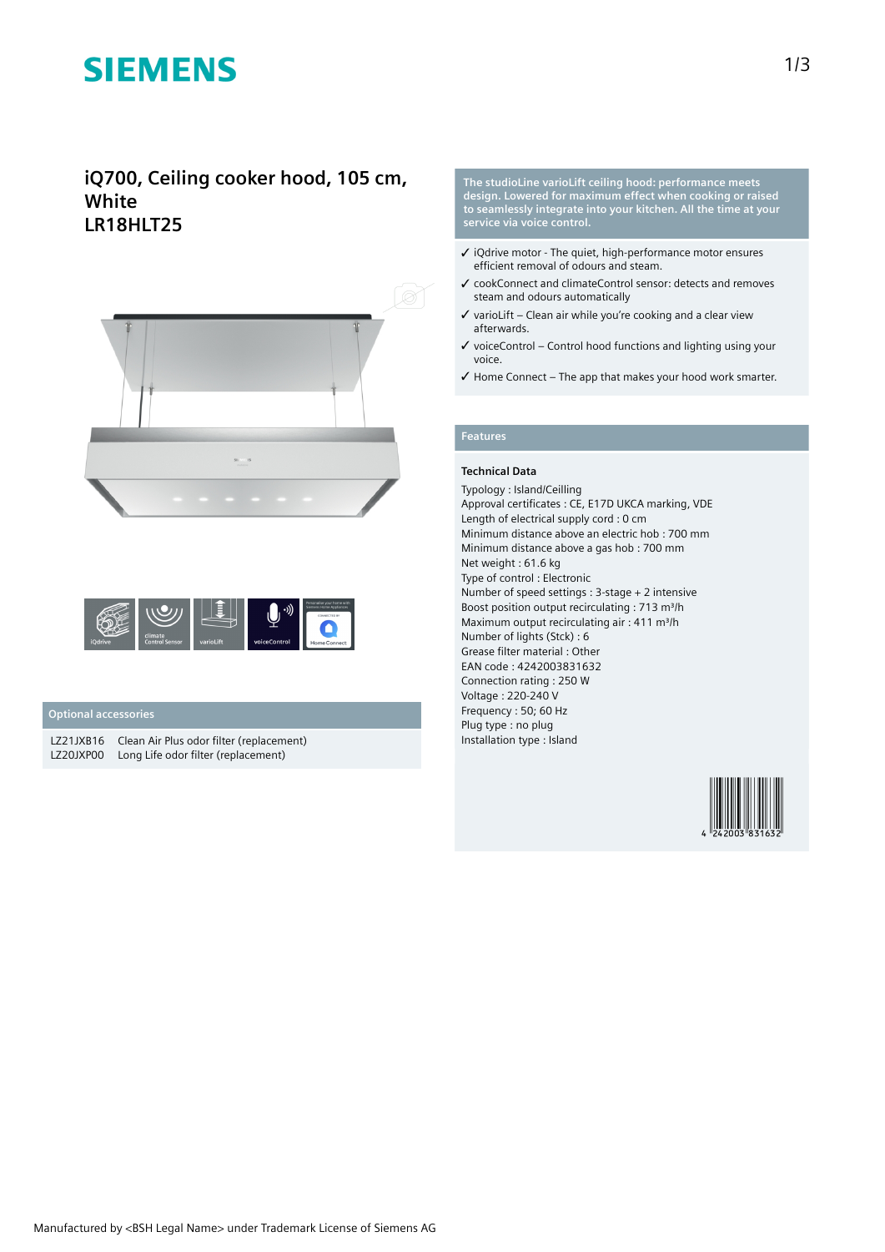# **SIEMENS**

## **iQ700, Ceiling cooker hood, 105 cm, White LR18HLT25**





#### **Optional accessories**

LZ21JXB16 Clean Air Plus odor filter (replacement) LZ20JXP00 Long Life odor filter (replacement)

**The studioLine varioLift ceiling hood: performance meets design. Lowered for maximum effect when cooking or raised to seamlessly integrate into your kitchen. All the time at your service via voice control.**

- ✓ iQdrive motor The quiet, high-performance motor ensures efficient removal of odours and steam.
- ✓ cookConnect and climateControl sensor: detects and removes steam and odours automatically
- $\checkmark$  varioLift Clean air while you're cooking and a clear view afterwards.
- $\checkmark$  voiceControl Control hood functions and lighting using your voice.
- ✓ Home Connect The app that makes your hood work smarter.

### **Features**

#### **Technical Data**

Typology : Island/Ceilling Approval certificates : CE, E17D UKCA marking, VDE Length of electrical supply cord : 0 cm Minimum distance above an electric hob : 700 mm Minimum distance above a gas hob : 700 mm Net weight : 61.6 kg Type of control : Electronic Number of speed settings : 3-stage + 2 intensive Boost position output recirculating : 713 m<sup>3</sup>/h Maximum output recirculating air : 411 m<sup>3</sup>/h Number of lights (Stck) : 6 Grease filter material : Other EAN code : 4242003831632 Connection rating : 250 W Voltage : 220-240 V Frequency : 50; 60 Hz Plug type : no plug Installation type : Island

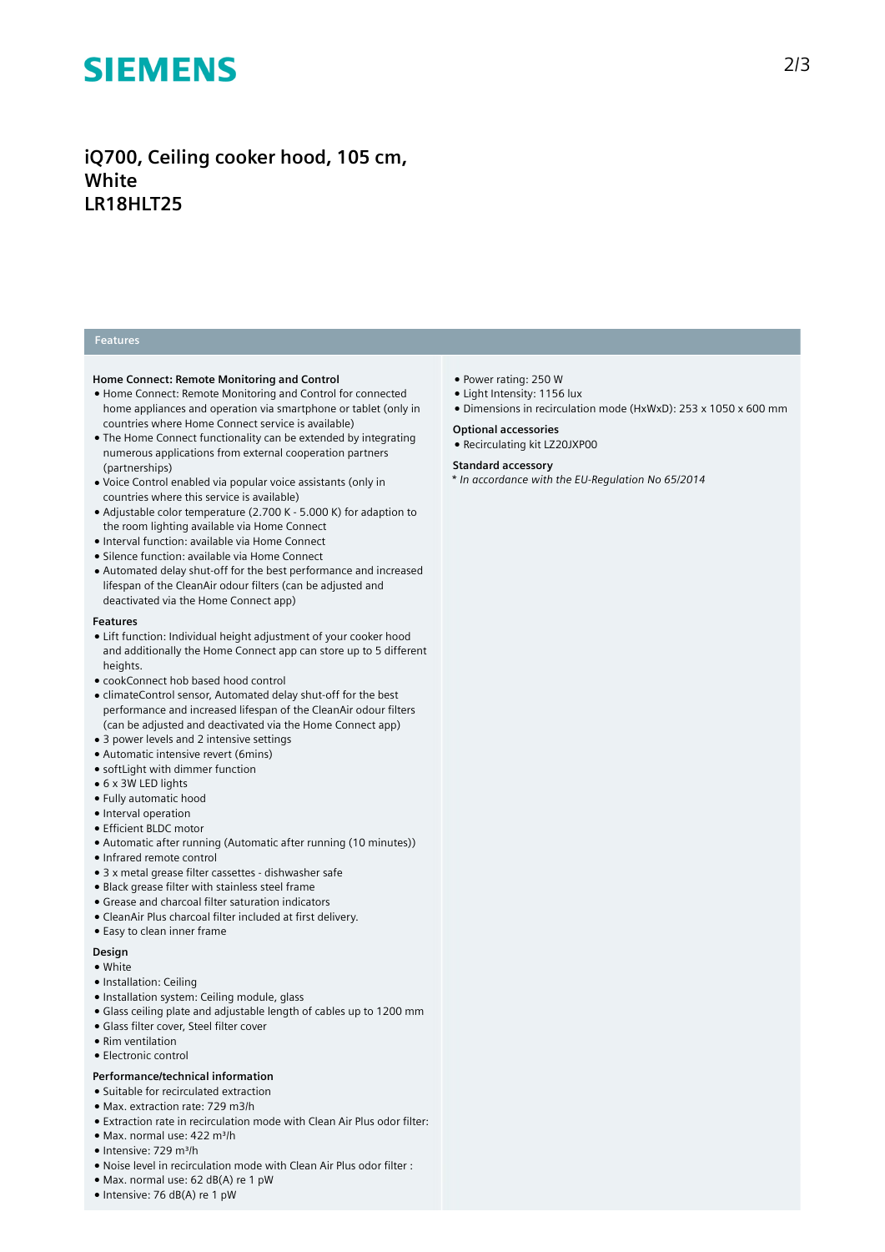# **SIEMENS**

## **iQ700, Ceiling cooker hood, 105 cm, White LR18HLT25**

#### **Features**

#### **Home Connect: Remote Monitoring and Control**

- Home Connect: Remote Monitoring and Control for connected home appliances and operation via smartphone or tablet (only in countries where Home Connect service is available)
- The Home Connect functionality can be extended by integrating numerous applications from external cooperation partners (partnerships)
- Voice Control enabled via popular voice assistants (only in countries where this service is available)
- Adjustable color temperature (2.700 K 5.000 K) for adaption to the room lighting available via Home Connect
- Interval function: available via Home Connect
- Silence function: available via Home Connect
- Automated delay shut-off for the best performance and increased lifespan of the CleanAir odour filters (can be adjusted and deactivated via the Home Connect app)

#### **Features**

- Lift function: Individual height adjustment of your cooker hood and additionally the Home Connect app can store up to 5 different heights.
- cookConnect hob based hood control
- climateControl sensor, Automated delay shut-off for the best performance and increased lifespan of the CleanAir odour filters (can be adjusted and deactivated via the Home Connect app)
- 3 power levels and 2 intensive settings
- Automatic intensive revert (6mins)
- softLight with dimmer function
- 6 x 3W LED lights
- Fully automatic hood
- Interval operation
- Efficient BLDC motor
- Automatic after running (Automatic after running (10 minutes))
- Infrared remote control
- 3 x metal grease filter cassettes dishwasher safe
- Black grease filter with stainless steel frame
- Grease and charcoal filter saturation indicators
- CleanAir Plus charcoal filter included at first delivery.
- Easy to clean inner frame

#### **Design**

- White
- Installation: Ceiling
- Installation system: Ceiling module, glass
- Glass ceiling plate and adjustable length of cables up to 1200 mm
- Glass filter cover, Steel filter cover
- Rim ventilation
- Electronic control

### **Performance/technical information**

- Suitable for recirculated extraction
- Max. extraction rate: 729 m3/h
- Extraction rate in recirculation mode with Clean Air Plus odor filter:
- Max. normal use: 422 m³/h
- Intensive: 729 m³/h
- Noise level in recirculation mode with Clean Air Plus odor filter :
- Max. normal use: 62 dB(A) re 1 pW
- Intensive: 76 dB(A) re 1 pW
- Power rating: 250 W
- Light Intensity: 1156 lux
- Dimensions in recirculation mode (HxWxD): 253 x 1050 x 600 mm

#### **Optional accessories**

● Recirculating kit LZ20JXP00

#### **Standard accessory**

*\* In accordance with the EU-Regulation No 65/2014*